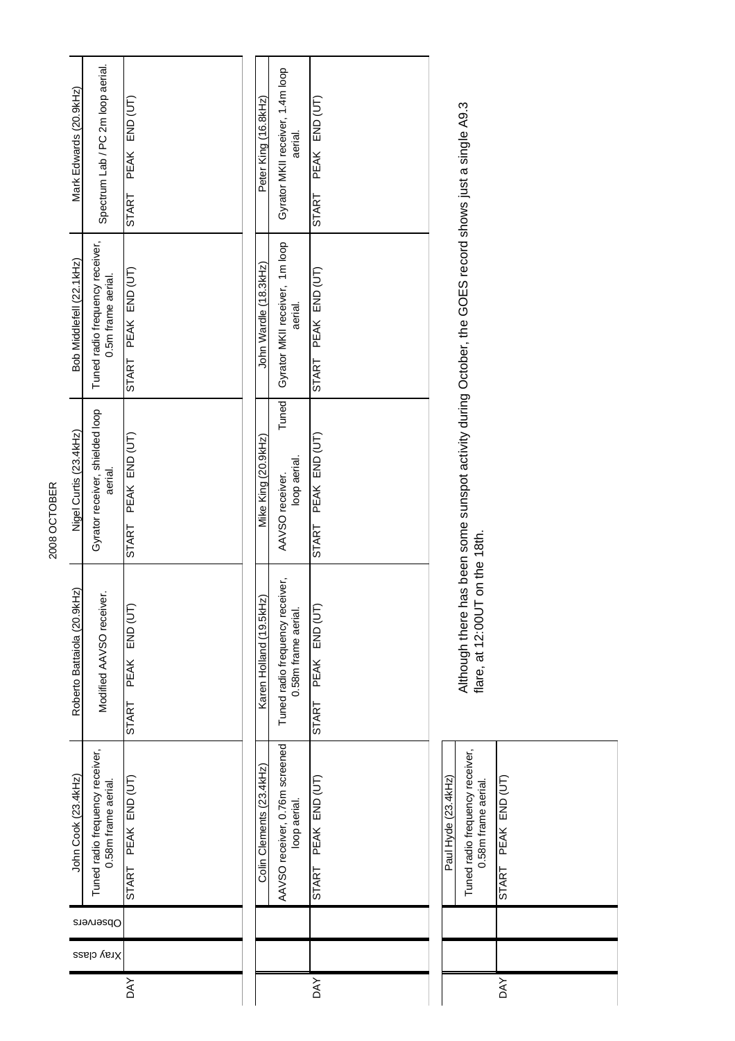| 2008 OCTOBER | Mark Edwards (20.9kHz)      | Spectrum Lab / PC 2m loop aerial.                      | $END$ $(UT)$<br><b>PEAK</b><br><b>START</b> | Peter King (16.8kHz)     | Gyrator MKII receiver, 1.4m loop<br>aerial.            | PEAK END (UT)<br>START        |  |                                                                                         |                               |
|--------------|-----------------------------|--------------------------------------------------------|---------------------------------------------|--------------------------|--------------------------------------------------------|-------------------------------|--|-----------------------------------------------------------------------------------------|-------------------------------|
|              | Bob Middlefell (22.1kHz)    | Tuned radio frequency receiver,<br>0.5m frame aerial.  | PEAK END (UT)<br><b>START</b>               | John Wardle (18.3kHz)    | Gyrator MKII receiver, 1m loop<br>aerial.              | PEAK END (UT)<br><b>START</b> |  |                                                                                         |                               |
|              | Nigel Curtis (23.4kHz)      | Gyrator receiver, shielded loop<br>aerial.             | PEAK END (UT)<br>START                      | Mike King (20.9kHz)      | Tuned<br>loop aerial.<br>AAVSO receiver.               | PEAK END (UT)<br><b>START</b> |  | has been some sunspot activity during October, the GOES record shows just a single A9.3 |                               |
|              | Roberto Battaiola (20.9kHz) | Modified AAVSO receiver.                               | PEAK END (UT<br><b>START</b>                | Karen Holland (19.5kHz)  | Tuned radio frequency receiver,<br>0.58m frame aerial. | PEAK END (UT<br><b>START</b>  |  | IT on the 18th.<br>Although there<br>flare, at 12:00U                                   |                               |
|              | John Cook (23.4kHz)         | Tuned radio frequency receiver,<br>0.58m frame aerial. | START PEAK END (UT)                         | Colin Clements (23.4kHz) | AAVSO receiver, 0.76m screened<br>loop aerial.         | START PEAK END (UT)           |  | Tuned radio frequency receiver,<br>Paul Hyde (23.4kHz)<br>0.58m frame aerial.           | PEAK END (UT)<br><b>START</b> |
|              |                             | Observers                                              |                                             |                          |                                                        |                               |  |                                                                                         |                               |
|              |                             | Xray class                                             |                                             |                          |                                                        |                               |  |                                                                                         |                               |
|              |                             |                                                        | <b>AY</b>                                   |                          |                                                        | <b>DAY</b>                    |  |                                                                                         | <b>AX</b>                     |

2008 OCTOBER